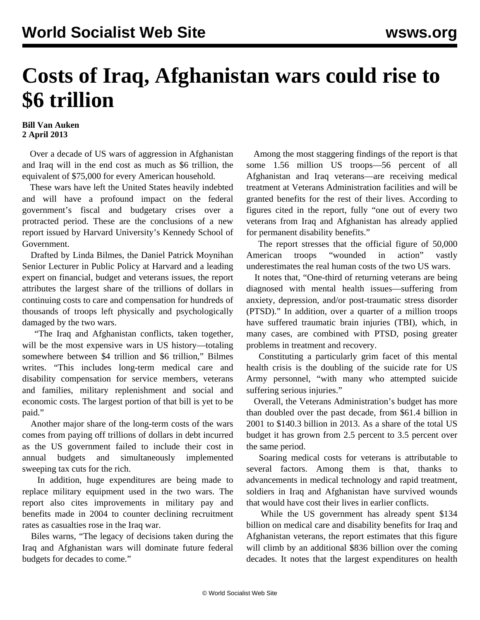## **Costs of Iraq, Afghanistan wars could rise to \$6 trillion**

## **Bill Van Auken 2 April 2013**

 Over a decade of US wars of aggression in Afghanistan and Iraq will in the end cost as much as \$6 trillion, the equivalent of \$75,000 for every American household.

 These wars have left the United States heavily indebted and will have a profound impact on the federal government's fiscal and budgetary crises over a protracted period. These are the conclusions of a new report issued by Harvard University's Kennedy School of Government.

 Drafted by Linda Bilmes, the Daniel Patrick Moynihan Senior Lecturer in Public Policy at Harvard and a leading expert on financial, budget and veterans issues, the report attributes the largest share of the trillions of dollars in continuing costs to care and compensation for hundreds of thousands of troops left physically and psychologically damaged by the two wars.

 "The Iraq and Afghanistan conflicts, taken together, will be the most expensive wars in US history—totaling somewhere between \$4 trillion and \$6 trillion," Bilmes writes. "This includes long-term medical care and disability compensation for service members, veterans and families, military replenishment and social and economic costs. The largest portion of that bill is yet to be paid."

 Another major share of the long-term costs of the wars comes from paying off trillions of dollars in debt incurred as the US government failed to include their cost in annual budgets and simultaneously implemented sweeping tax cuts for the rich.

 In addition, huge expenditures are being made to replace military equipment used in the two wars. The report also cites improvements in military pay and benefits made in 2004 to counter declining recruitment rates as casualties rose in the Iraq war.

 Biles warns, "The legacy of decisions taken during the Iraq and Afghanistan wars will dominate future federal budgets for decades to come."

 Among the most staggering findings of the report is that some 1.56 million US troops—56 percent of all Afghanistan and Iraq veterans—are receiving medical treatment at Veterans Administration facilities and will be granted benefits for the rest of their lives. According to figures cited in the report, fully "one out of every two veterans from Iraq and Afghanistan has already applied for permanent disability benefits."

 The report stresses that the official figure of 50,000 American troops "wounded in action" vastly underestimates the real human costs of the two US wars.

 It notes that, "One-third of returning veterans are being diagnosed with mental health issues—suffering from anxiety, depression, and/or post-traumatic stress disorder (PTSD)." In addition, over a quarter of a million troops have suffered traumatic brain injuries (TBI), which, in many cases, are combined with PTSD, posing greater problems in treatment and recovery.

 Constituting a particularly grim facet of this mental health crisis is the doubling of the suicide rate for US Army personnel, "with many who attempted suicide suffering serious injuries."

 Overall, the Veterans Administration's budget has more than doubled over the past decade, from \$61.4 billion in 2001 to \$140.3 billion in 2013. As a share of the total US budget it has grown from 2.5 percent to 3.5 percent over the same period.

 Soaring medical costs for veterans is attributable to several factors. Among them is that, thanks to advancements in medical technology and rapid treatment, soldiers in Iraq and Afghanistan have survived wounds that would have cost their lives in earlier conflicts.

 While the US government has already spent \$134 billion on medical care and disability benefits for Iraq and Afghanistan veterans, the report estimates that this figure will climb by an additional \$836 billion over the coming decades. It notes that the largest expenditures on health